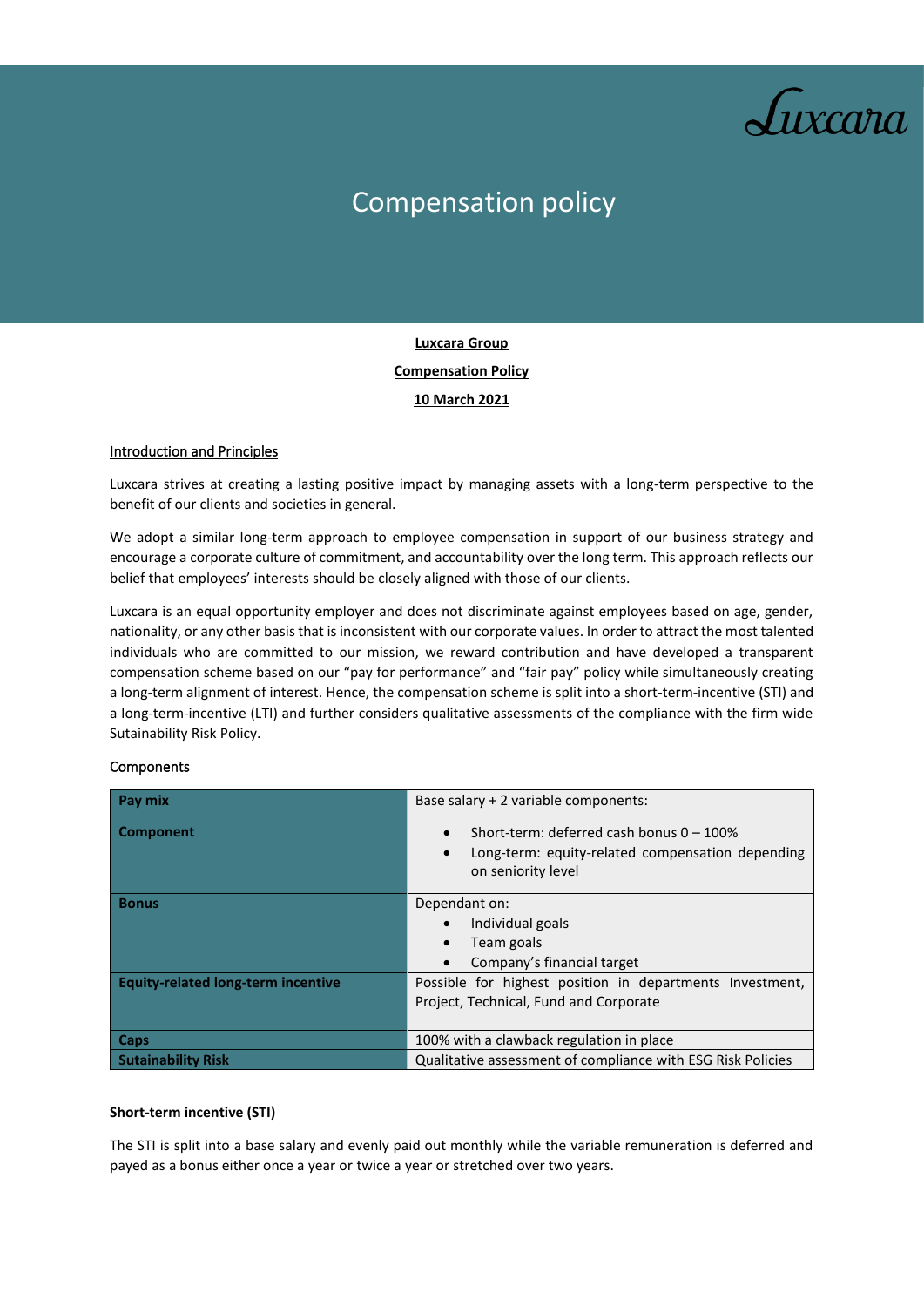

# Compensation policy

## **Luxcara Group Compensation Policy 10 March 2021**

#### Introduction and Principles

Luxcara strives at creating a lasting positive impact by managing assets with a long-term perspective to the benefit of our clients and societies in general.

We adopt a similar long-term approach to employee compensation in support of our business strategy and encourage a corporate culture of commitment, and accountability over the long term. This approach reflects our belief that employees' interests should be closely aligned with those of our clients.

Luxcara is an equal opportunity employer and does not discriminate against employees based on age, gender, nationality, or any other basis that is inconsistent with our corporate values. In order to attract the most talented individuals who are committed to our mission, we reward contribution and have developed a transparent compensation scheme based on our "pay for performance" and "fair pay" policy while simultaneously creating a long-term alignment of interest. Hence, the compensation scheme is split into a short-term-incentive (STI) and a long-term-incentive (LTI) and further considers qualitative assessments of the compliance with the firm wide Sutainability Risk Policy.

#### Components

| Pay mix                                   | Base salary + 2 variable components:                                                                                               |
|-------------------------------------------|------------------------------------------------------------------------------------------------------------------------------------|
| <b>Component</b>                          | Short-term: deferred cash bonus $0 - 100\%$<br>Long-term: equity-related compensation depending<br>$\bullet$<br>on seniority level |
| <b>Bonus</b>                              | Dependant on:                                                                                                                      |
|                                           | Individual goals                                                                                                                   |
|                                           | Team goals                                                                                                                         |
|                                           | Company's financial target                                                                                                         |
| <b>Equity-related long-term incentive</b> | Possible for highest position in departments Investment,                                                                           |
|                                           | Project, Technical, Fund and Corporate                                                                                             |
|                                           |                                                                                                                                    |
| Caps                                      | 100% with a clawback regulation in place                                                                                           |
| <b>Sutainability Risk</b>                 | Qualitative assessment of compliance with ESG Risk Policies                                                                        |

#### **Short-term incentive (STI)**

The STI is split into a base salary and evenly paid out monthly while the variable remuneration is deferred and payed as a bonus either once a year or twice a year or stretched over two years.